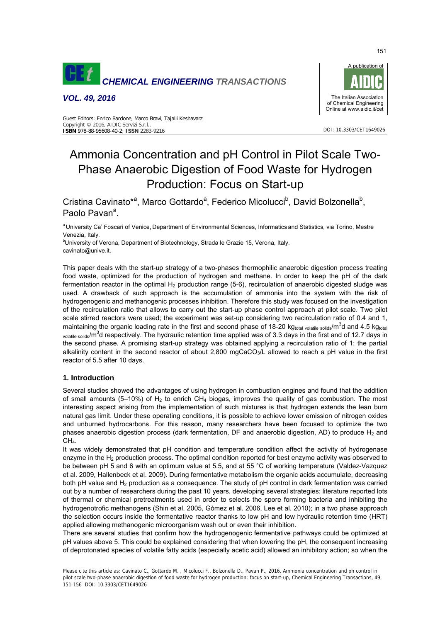

*VOL. 49, 2016* 



DOI: 10.3303/CET1649026

#### Guest Editors: Enrico Bardone, Marco Bravi, Tajalli Keshavarz Copyright © 2016, AIDIC Servizi S.r.l. **ISBN** 978-88-95608-40-2; **ISSN** 2283-9216

# Ammonia Concentration and pH Control in Pilot Scale Two-Phase Anaerobic Digestion of Food Waste for Hydrogen Production: Focus on Start-up

Cristina Cavinato<sup>\*a</sup>, Marco Gottardo<sup>a</sup>, Federico Micolucci<sup>b</sup>, David Bolzonella<sup>b</sup>, Paolo Pavan<sup>a</sup>.

a University Ca' Foscari of Venice, Department of Environmental Sciences, Informatics and Statistics, via Torino, Mestre Venezia, Italy.

<sup>b</sup>University of Verona, Department of Biotechnology, Strada le Grazie 15, Verona, Italy. cavinato@unive.it.

This paper deals with the start-up strategy of a two-phases thermophilic anaerobic digestion process treating food waste, optimized for the production of hydrogen and methane. In order to keep the pH of the dark fermentation reactor in the optimal  $H_2$  production range (5-6), recirculation of anaerobic digested sludge was used. A drawback of such approach is the accumulation of ammonia into the system with the risk of hydrogenogenic and methanogenic processes inhibition. Therefore this study was focused on the investigation of the recirculation ratio that allows to carry out the start-up phase control approach at pilot scale. Two pilot scale stirred reactors were used; the experiment was set-up considering two recirculation ratio of 0.4 and 1, maintaining the organic loading rate in the first and second phase of 18-20 kg<sub>total volatile solids</sub>/m<sup>3</sup>d and 4.5 kg<sub>total</sub> volatile solids/m<sup>3</sup>d respectively. The hydraulic retention time applied was of 3.3 days in the first and of 12.7 days in the second phase. A promising start-up strategy was obtained applying a recirculation ratio of 1; the partial alkalinity content in the second reactor of about 2,800 mgCaCO<sub>3</sub>/L allowed to reach a pH value in the first reactor of 5.5 after 10 days.

## **1. Introduction**

Several studies showed the advantages of using hydrogen in combustion engines and found that the addition of small amounts (5–10%) of  $H_2$  to enrich CH<sub>4</sub> biogas, improves the quality of gas combustion. The most interesting aspect arising from the implementation of such mixtures is that hydrogen extends the lean burn natural gas limit. Under these operating conditions, it is possible to achieve lower emission of nitrogen oxides and unburned hydrocarbons. For this reason, many researchers have been focused to optimize the two phases anaerobic digestion process (dark fermentation, DF and anaerobic digestion, AD) to produce  $H_2$  and  $CH<sub>4</sub>$ .

It was widely demonstrated that pH condition and temperature condition affect the activity of hydrogenase enzyme in the  $H_2$  production process. The optimal condition reported for best enzyme activity was observed to be between pH 5 and 6 with an optimum value at 5.5, and at 55 °C of working temperature (Valdez-Vazquez et al. 2009, Hallenbeck et al. 2009). During fermentative metabolism the organic acids accumulate, decreasing both pH value and  $H_2$  production as a consequence. The study of pH control in dark fermentation was carried out by a number of researchers during the past 10 years, developing several strategies: literature reported lots of thermal or chemical pretreatments used in order to selects the spore forming bacteria and inhibiting the hydrogenotrofic methanogens (Shin et al. 2005, Gòmez et al. 2006, Lee et al. 2010); in a two phase approach the selection occurs inside the fermentative reactor thanks to low pH and low hydraulic retention time (HRT) applied allowing methanogenic microorganism wash out or even their inhibition.

There are several studies that confirm how the hydrogenogenic fermentative pathways could be optimized at pH values above 5. This could be explained considering that when lowering the pH, the consequent increasing of deprotonated species of volatile fatty acids (especially acetic acid) allowed an inhibitory action; so when the

Please cite this article as: Cavinato C., Gottardo M. , Micolucci F., Bolzonella D., Pavan P., 2016, Ammonia concentration and ph control in pilot scale two-phase anaerobic digestion of food waste for hydrogen production: focus on start-up, Chemical Engineering Transactions, 49, 151-156 DOI: 10.3303/CET1649026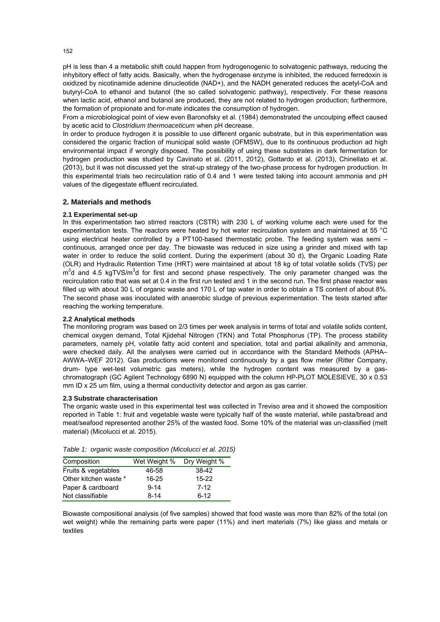pH is less than 4 a metabolic shift could happen from hydrogenogenic to solvatogenic pathways, reducing the inhybitory effect of fatty acids. Basically, when the hydrogenase enzyme is inhibited, the reduced ferredoxin is oxidized by nicotinamide adenine dinucleotide (NAD+), and the NADH generated reduces the acetyl-CoA and butyryl-CoA to ethanol and butanol (the so called solvatogenic pathway), respectively. For these reasons when lactic acid, ethanol and butanol are produced, they are not related to hydrogen production; furthermore, the formation of propionate and for-mate indicates the consumption of hydrogen.

From a microbiological point of view even Baronofsky et al. (1984) demonstrated the uncoulping effect caused by acetic acid to *Clostridium thermoaceticum* when pH decrease.

In order to produce hydrogen it is possible to use different organic substrate, but in this experimentation was considered the organic fraction of municipal solid waste (OFMSW), due to its continuous production ad high environmental impact if wrongly disposed. The possibility of using these substrates in dark fermentation for hydrogen production was studied by Cavinato et al. (2011, 2012), Gottardo et al. (2013), Chinellato et al. (2013), but it was not discussed yet the strat-up strategy of the two-phase process for hydrogen production. In this experimental trials two recirculation ratio of 0.4 and 1 were tested taking into account ammonia and pH values of the digegestate effluent recirculated.

## **2. Materials and methods**

## **2.1 Experimental set-up**

In this experimentation two stirred reactors (CSTR) with 230 L of working volume each were used for the experimentation tests. The reactors were heated by hot water recirculation system and maintained at 55 °C using electrical heater controlled by a PT100-based thermostatic probe. The feeding system was semi – continuous, arranged once per day. The biowaste was reduced in size using a grinder and mixed with tap water in order to reduce the solid content. During the experiment (about 30 d), the Organic Loading Rate (OLR) and Hydraulic Retention Time (HRT) were maintained at about 18 kg of total volatile solids (TVS) per  $m<sup>3</sup>d$  and 4.5 kgTVS/ $m<sup>3</sup>d$  for first and second phase respectively. The only parameter changed was the recirculation ratio that was set at 0.4 in the first run tested and 1 in the second run. The first phase reactor was filled up with about 30 L of organic waste and 170 L of tap water in order to obtain a TS content of about 8%. The second phase was inoculated with anaerobic sludge of previous experimentation. The tests started after reaching the working temperature.

## **2.2 Analytical methods**

The monitoring program was based on 2/3 times per week analysis in terms of total and volatile solids content, chemical oxygen demand, Total Kjidehal Nitrogen (TKN) and Total Phosphorus (TP). The process stability parameters, namely pH, volatile fatty acid content and speciation, total and partial alkalinity and ammonia, were checked daily. All the analyses were carried out in accordance with the Standard Methods (APHA– AWWA–WEF 2012). Gas productions were monitored continuously by a gas flow meter (Ritter Company, drum- type wet-test volumetric gas meters), while the hydrogen content was measured by a gaschromatograph (GC Agilent Technology 6890 N) equipped with the column HP-PLOT MOLESIEVE, 30 x 0.53 mm ID x 25 um film, using a thermal conductivity detector and argon as gas carrier.

#### **2.3 Substrate characterisation**

The organic waste used in this experimental test was collected in Treviso area and it showed the composition reported in Table 1: fruit and vegetable waste were typically half of the waste material, while pasta/bread and meat/seafood represented another 25% of the wasted food. Some 10% of the material was un-classified (melt material) (Micolucci et al. 2015).

| Composition           | Wet Weight % | Dry Weight % |
|-----------------------|--------------|--------------|
| Fruits & vegetables   | 46-58        | 38-42        |
| Other kitchen waste * | $16 - 25$    | $15-22$      |
| Paper & cardboard     | $9 - 14$     | $7 - 12$     |
| Not classifiable      | $8 - 14$     | $6-12$       |

*Table 1: organic waste composition (Micolucci et al. 2015)* 

Biowaste compositional analysis (of five samples) showed that food waste was more than 82% of the total (on wet weight) while the remaining parts were paper (11%) and inert materials (7%) like glass and metals or textiles

152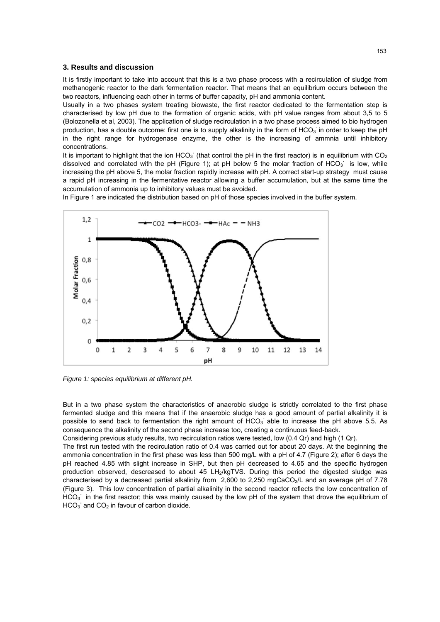## **3. Results and discussion**

It is firstly important to take into account that this is a two phase process with a recirculation of sludge from methanogenic reactor to the dark fermentation reactor. That means that an equilibrium occurs between the two reactors, influencing each other in terms of buffer capacity, pH and ammonia content.

Usually in a two phases system treating biowaste, the first reactor dedicated to the fermentation step is characterised by low pH due to the formation of organic acids, with pH value ranges from about 3,5 to 5 (Bolozonella et al, 2003). The application of sludge recirculation in a two phase process aimed to bio hydrogen production, has a double outcome: first one is to supply alkalinity in the form of HCO<sub>3</sub> in order to keep the pH in the right range for hydrogenase enzyme, the other is the increasing of ammnia until inhibitory concentrations.

It is important to highlight that the ion HCO<sub>3</sub> (that control the pH in the first reactor) is in equilibrium with CO<sub>2</sub> dissolved and correlated with the pH (Figure 1); at pH below 5 the molar fraction of  $HCO<sub>3</sub>$  is low, while increasing the pH above 5, the molar fraction rapidly increase with pH. A correct start-up strategy must cause a rapid pH increasing in the fermentative reactor allowing a buffer accumulation, but at the same time the accumulation of ammonia up to inhibitory values must be avoided.

In Figure 1 are indicated the distribution based on pH of those species involved in the buffer system.



*Figure 1: species equilibrium at different pH.* 

But in a two phase system the characteristics of anaerobic sludge is strictly correlated to the first phase fermented sludge and this means that if the anaerobic sludge has a good amount of partial alkalinity it is possible to send back to fermentation the right amount of  $HCO<sub>3</sub>$  able to increase the pH above 5.5. As consequence the alkalinity of the second phase increase too, creating a continuous feed-back.

Considering previous study results, two recirculation ratios were tested, low (0.4 Qr) and high (1 Qr).

The first run tested with the recirculation ratio of 0.4 was carried out for about 20 days. At the beginning the ammonia concentration in the first phase was less than 500 mg/L with a pH of 4.7 (Figure 2); after 6 days the pH reached 4.85 with slight increase in SHP, but then pH decreased to 4.65 and the specific hydrogen production observed, descreased to about 45 LH<sub>2</sub>/kgTVS. During this period the digested sludge was characterised by a decreased partial alkalinity from 2,600 to 2,250 mgCaCO<sub>3</sub>/L and an average pH of 7.78 (Figure 3). This low concentration of partial alkalinity in the second reactor reflects the low concentration of HCO<sub>3</sub><sup>-</sup> in the first reactor; this was mainly caused by the low pH of the system that drove the equilibrium of  $HCO<sub>3</sub>$  and  $CO<sub>2</sub>$  in favour of carbon dioxide.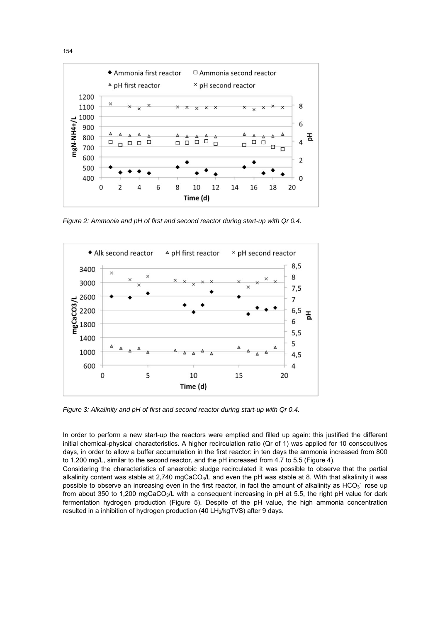

*Figure 2: Ammonia and pH of first and second reactor during start-up with Qr 0.4.* 



*Figure 3: Alkalinity and pH of first and second reactor during start-up with Qr 0.4.* 

In order to perform a new start-up the reactors were emptied and filled up again: this justified the different initial chemical-physical characteristics. A higher recirculation ratio (Qr of 1) was applied for 10 consecutives days, in order to allow a buffer accumulation in the first reactor: in ten days the ammonia increased from 800 to 1,200 mg/L, similar to the second reactor, and the pH increased from 4.7 to 5.5 (Figure 4).

Considering the characteristics of anaerobic sludge recirculated it was possible to observe that the partial alkalinity content was stable at 2,740 mgCaCO<sub>3</sub>/L and even the pH was stable at 8. With that alkalinity it was possible to observe an increasing even in the first reactor, in fact the amount of alkalinity as HCO $_3$  rose up from about 350 to 1,200 mgCaCO<sub>3</sub>/L with a consequent increasing in pH at 5.5, the right pH value for dark fermentation hydrogen production (Figure 5). Despite of the pH value, the high ammonia concentration resulted in a inhibition of hydrogen production (40 LH<sub>2</sub>/kgTVS) after 9 days.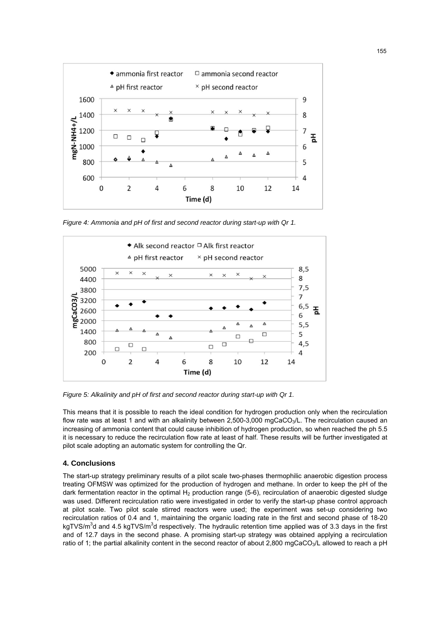

*Figure 4: Ammonia and pH of first and second reactor during start-up with Qr 1.* 



*Figure 5: Alkalinity and pH of first and second reactor during start-up with Qr 1.* 

This means that it is possible to reach the ideal condition for hydrogen production only when the recirculation flow rate was at least 1 and with an alkalinity between 2,500-3,000 mgCaCO<sub>3</sub>/L. The recirculation caused an increasing of ammonia content that could cause inhibition of hydrogen production, so when reached the ph 5.5 it is necessary to reduce the recirculation flow rate at least of half. These results will be further investigated at pilot scale adopting an automatic system for controlling the Qr.

## **4. Conclusions**

The start-up strategy preliminary results of a pilot scale two-phases thermophilic anaerobic digestion process treating OFMSW was optimized for the production of hydrogen and methane. In order to keep the pH of the dark fermentation reactor in the optimal  $H_2$  production range (5-6), recirculation of anaerobic digested sludge was used. Different recirculation ratio were investigated in order to verify the start-up phase control approach at pilot scale. Two pilot scale stirred reactors were used; the experiment was set-up considering two recirculation ratios of 0.4 and 1, maintaining the organic loading rate in the first and second phase of 18-20 kgTVS/m<sup>3</sup>d and 4.5 kgTVS/m<sup>3</sup>d respectively. The hydraulic retention time applied was of 3.3 days in the first and of 12.7 days in the second phase. A promising start-up strategy was obtained applying a recirculation ratio of 1; the partial alkalinity content in the second reactor of about 2,800 mgCaCO<sub>3</sub>/L allowed to reach a pH